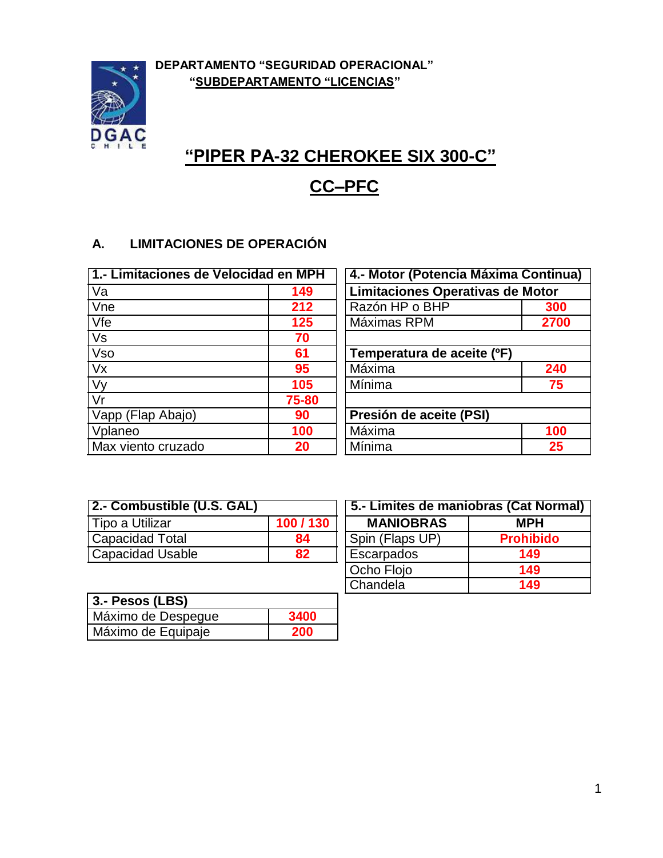

# **"PIPER PA-32 CHEROKEE SIX 300-C"**

## **CC–PFC**

## **A. LIMITACIONES DE OPERACIÓN**

| 1.- Limitaciones de Velocidad en MPH |       | 4.- Motor (Potencia Máxima Continua) |      |
|--------------------------------------|-------|--------------------------------------|------|
| Va                                   | 149   | Limitaciones Operativas de Motor     |      |
| Vne                                  | 212   | Razón HP o BHP                       | 300  |
| Vfe                                  | 125   | Máximas RPM                          | 2700 |
| Vs                                   | 70    |                                      |      |
| <b>Vso</b>                           | 61    | Temperatura de aceite (°F)           |      |
| Vx                                   | 95    | Máxima                               | 240  |
| Vy                                   | 105   | Mínima                               | 75   |
| Vr                                   | 75-80 |                                      |      |
| Vapp (Flap Abajo)                    | 90    | Presión de aceite (PSI)              |      |
| Vplaneo                              | 100   | Máxima                               | 100  |
| Max viento cruzado                   | 20    | Mínima                               | 25   |

| 2.- Combustible (U.S. GAL) |         |
|----------------------------|---------|
| Tipo a Utilizar            | 100/130 |
| Capacidad Total            | 84      |
| <b>Capacidad Usable</b>    | 82      |

| 5.- Limites de maniobras (Cat Normal) |                  |
|---------------------------------------|------------------|
| <b>MANIOBRAS</b>                      | <b>MPH</b>       |
| Spin (Flaps UP)                       | <b>Prohibido</b> |
| Escarpados                            | 149              |
| Ocho Flojo                            | 149              |
| Chandela                              | 149              |

| 3.- Pesos (LBS)    |      |
|--------------------|------|
| Máximo de Despegue | 3400 |
| Máximo de Equipaje | 200  |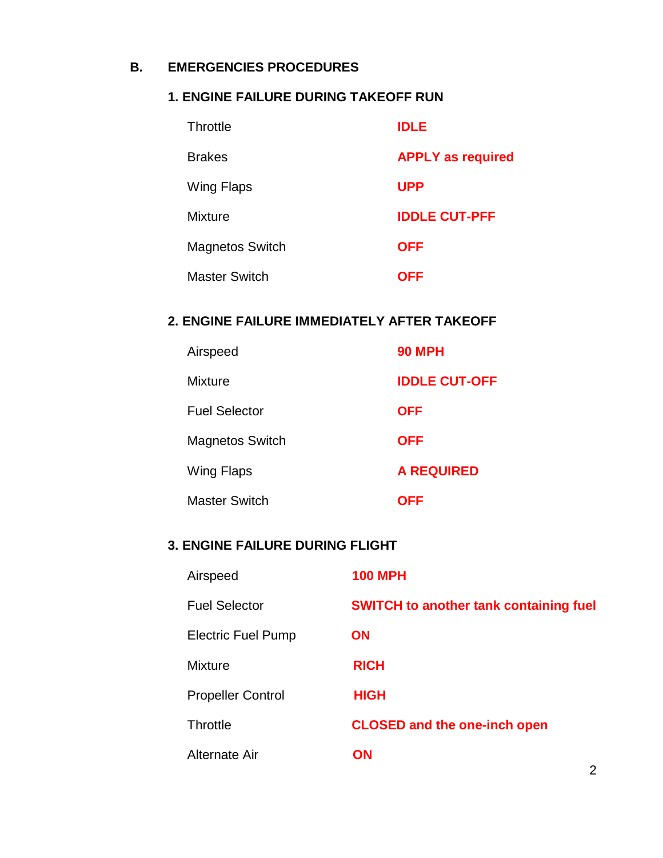#### **B. EMERGENCIES PROCEDURES**

#### **1. ENGINE FAILURE DURING TAKEOFF RUN**

| Throttle               | <b>IDLE</b>              |
|------------------------|--------------------------|
| <b>Brakes</b>          | <b>APPLY as required</b> |
| Wing Flaps             | <b>UPP</b>               |
| <b>Mixture</b>         | <b>IDDLE CUT-PFF</b>     |
| <b>Magnetos Switch</b> | <b>OFF</b>               |
| <b>Master Switch</b>   | OFF                      |

#### **2. ENGINE FAILURE IMMEDIATELY AFTER TAKEOFF**

| Airspeed               | <b>90 MPH</b>        |
|------------------------|----------------------|
| <b>Mixture</b>         | <b>IDDLE CUT-OFF</b> |
| <b>Fuel Selector</b>   | <b>OFF</b>           |
| <b>Magnetos Switch</b> | <b>OFF</b>           |
| Wing Flaps             | <b>A REQUIRED</b>    |
| <b>Master Switch</b>   | OFF                  |

## **3. ENGINE FAILURE DURING FLIGHT**

| Airspeed                  | <b>100 MPH</b>                                |
|---------------------------|-----------------------------------------------|
| <b>Fuel Selector</b>      | <b>SWITCH to another tank containing fuel</b> |
| <b>Electric Fuel Pump</b> | <b>ON</b>                                     |
| <b>Mixture</b>            | <b>RICH</b>                                   |
| <b>Propeller Control</b>  | <b>HIGH</b>                                   |
| <b>Throttle</b>           | <b>CLOSED and the one-inch open</b>           |
| Alternate Air             | <b>ON</b><br>2                                |
|                           |                                               |